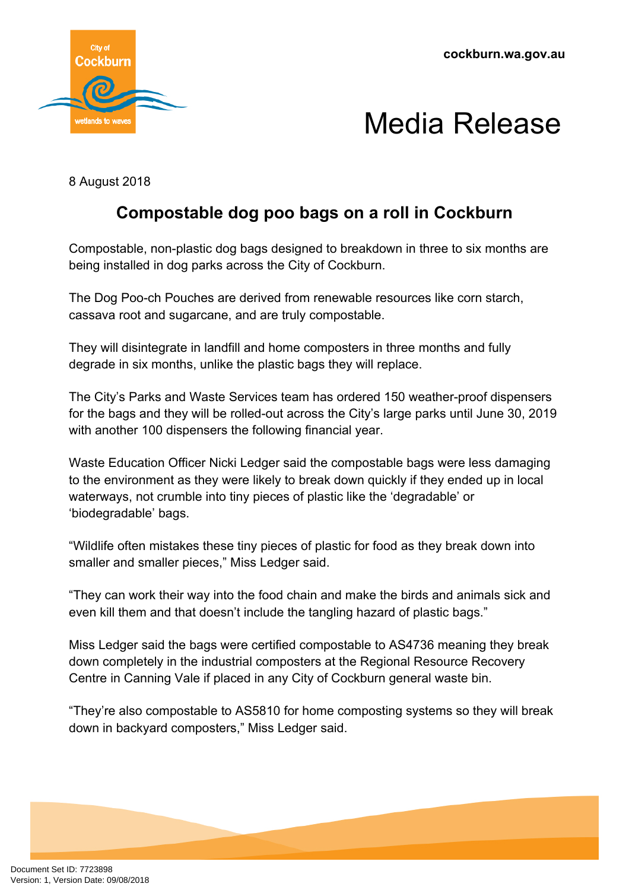



8 August 2018

## **Compostable dog poo bags on a roll in Cockburn**

Compostable, non-plastic dog bags designed to breakdown in three to six months are being installed in dog parks across the City of Cockburn.

The Dog Poo-ch Pouches are derived from renewable resources like corn starch, cassava root and sugarcane, and are truly compostable.

They will disintegrate in landfill and home composters in three months and fully degrade in six months, unlike the plastic bags they will replace.

The City's Parks and Waste Services team has ordered 150 weather-proof dispensers for the bags and they will be rolled-out across the City's large parks until June 30, 2019 with another 100 dispensers the following financial year.

Waste Education Officer Nicki Ledger said the compostable bags were less damaging to the environment as they were likely to break down quickly if they ended up in local waterways, not crumble into tiny pieces of plastic like the 'degradable' or 'biodegradable' bags.

"Wildlife often mistakes these tiny pieces of plastic for food as they break down into smaller and smaller pieces," Miss Ledger said.

"They can work their way into the food chain and make the birds and animals sick and even kill them and that doesn't include the tangling hazard of plastic bags."

Miss Ledger said the bags were certified compostable to AS4736 meaning they break down completely in the industrial composters at the Regional Resource Recovery Centre in Canning Vale if placed in any City of Cockburn general waste bin.

"They're also compostable to AS5810 for home composting systems so they will break down in backyard composters," Miss Ledger said.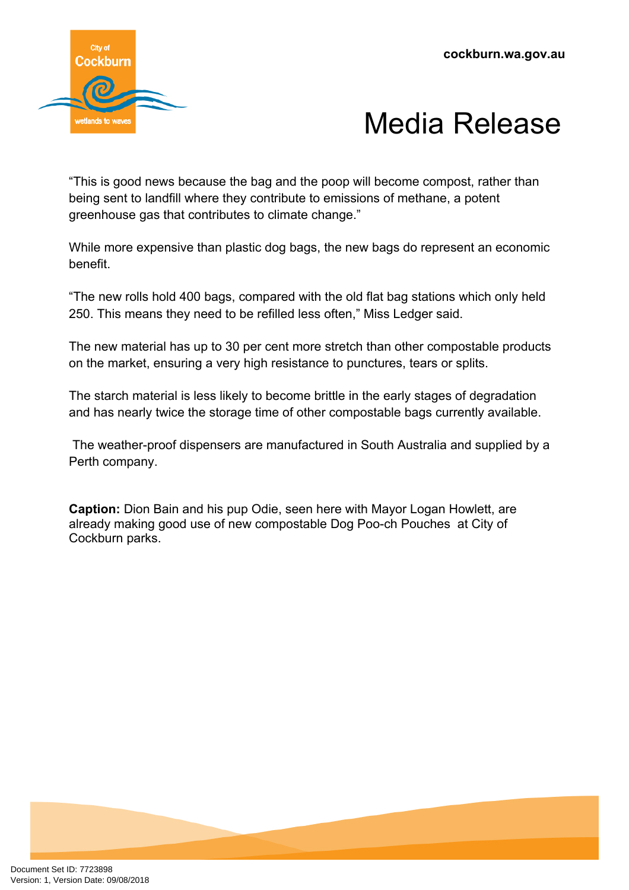



"This is good news because the bag and the poop will become compost, rather than being sent to landfill where they contribute to emissions of methane, a potent greenhouse gas that contributes to climate change."

While more expensive than plastic dog bags, the new bags do represent an economic benefit.

"The new rolls hold 400 bags, compared with the old flat bag stations which only held 250. This means they need to be refilled less often," Miss Ledger said.

The new material has up to 30 per cent more stretch than other compostable products on the market, ensuring a very high resistance to punctures, tears or splits.

The starch material is less likely to become brittle in the early stages of degradation and has nearly twice the storage time of other compostable bags currently available.

The weather-proof dispensers are manufactured in South Australia and supplied by a Perth company.

**Caption:** Dion Bain and his pup Odie, seen here with Mayor Logan Howlett, are already making good use of new compostable Dog Poo-ch Pouches at City of Cockburn parks.